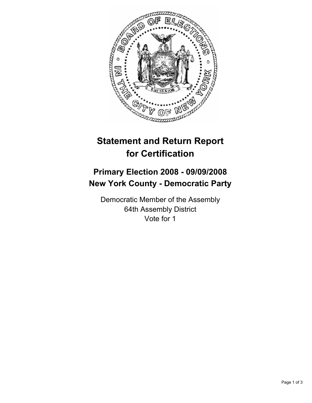

# **Statement and Return Report for Certification**

## **Primary Election 2008 - 09/09/2008 New York County - Democratic Party**

Democratic Member of the Assembly 64th Assembly District Vote for 1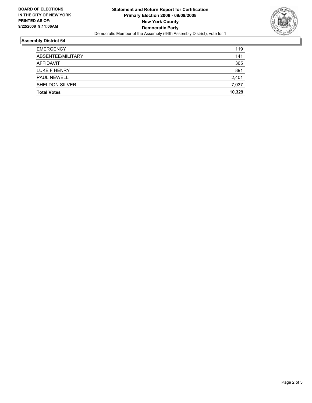

### **Assembly District 64**

| <b>Total Votes</b>    | 10,329 |
|-----------------------|--------|
| <b>SHELDON SILVER</b> | 7,037  |
| <b>PAUL NEWELL</b>    | 2,401  |
| LUKE F HENRY          | 891    |
| AFFIDAVIT             | 365    |
| ABSENTEE/MILITARY     | 141    |
| <b>EMERGENCY</b>      | 119    |